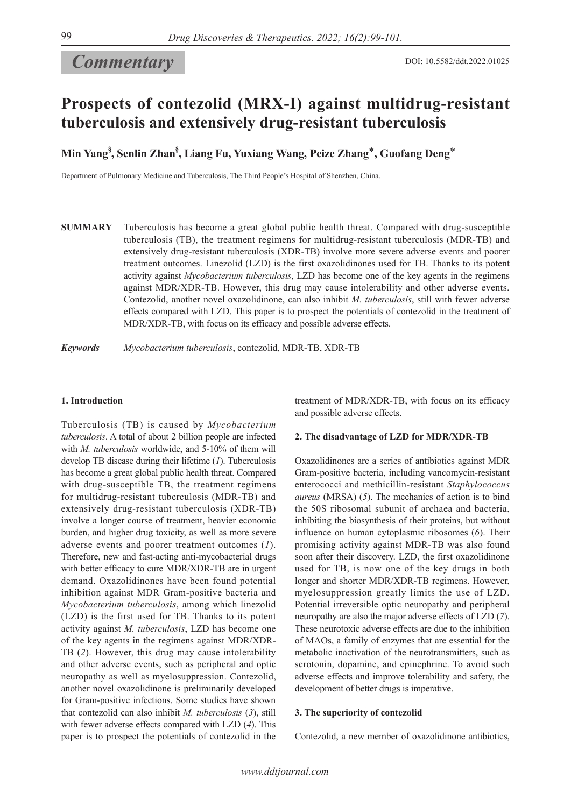# *Commentary*

## **Prospects of contezolid (MRX-I) against multidrug-resistant tuberculosis and extensively drug-resistant tuberculosis**

**Min Yang§ , Senlin Zhan§ , Liang Fu, Yuxiang Wang, Peize Zhang**\***, Guofang Deng**\*

Department of Pulmonary Medicine and Tuberculosis, The Third People's Hospital of Shenzhen, China.

**SUMMARY** Tuberculosis has become a great global public health threat. Compared with drug-susceptible tuberculosis (TB), the treatment regimens for multidrug-resistant tuberculosis (MDR-TB) and extensively drug-resistant tuberculosis (XDR-TB) involve more severe adverse events and poorer treatment outcomes. Linezolid (LZD) is the first oxazolidinones used for TB. Thanks to its potent activity against *Mycobacterium tuberculosis*, LZD has become one of the key agents in the regimens against MDR/XDR-TB. However, this drug may cause intolerability and other adverse events. Contezolid, another novel oxazolidinone, can also inhibit *M. tuberculosis*, still with fewer adverse effects compared with LZD. This paper is to prospect the potentials of contezolid in the treatment of MDR/XDR-TB, with focus on its efficacy and possible adverse effects.

*Keywords Mycobacterium tuberculosis*, contezolid, MDR-TB, XDR-TB

## **1. Introduction**

Tuberculosis (TB) is caused by *Mycobacterium tuberculosis*. A total of about 2 billion people are infected with *M. tuberculosis* worldwide, and 5-10% of them will develop TB disease during their lifetime (*1*). Tuberculosis has become a great global public health threat. Compared with drug-susceptible TB, the treatment regimens for multidrug-resistant tuberculosis (MDR-TB) and extensively drug-resistant tuberculosis (XDR-TB) involve a longer course of treatment, heavier economic burden, and higher drug toxicity, as well as more severe adverse events and poorer treatment outcomes (*1*). Therefore, new and fast-acting anti-mycobacterial drugs with better efficacy to cure MDR/XDR-TB are in urgent demand. Oxazolidinones have been found potential inhibition against MDR Gram-positive bacteria and *Mycobacterium tuberculosis*, among which linezolid (LZD) is the first used for TB. Thanks to its potent activity against *M. tuberculosis*, LZD has become one of the key agents in the regimens against MDR/XDR-TB (*2*). However, this drug may cause intolerability and other adverse events, such as peripheral and optic neuropathy as well as myelosuppression. Contezolid, another novel oxazolidinone is preliminarily developed for Gram-positive infections. Some studies have shown that contezolid can also inhibit *M. tuberculosis* (*3*), still with fewer adverse effects compared with LZD (*4*). This paper is to prospect the potentials of contezolid in the treatment of MDR/XDR-TB, with focus on its efficacy and possible adverse effects.

## **2. The disadvantage of LZD for MDR/XDR-TB**

Oxazolidinones are a series of antibiotics against MDR Gram-positive bacteria, including vancomycin-resistant enterococci and methicillin-resistant *Staphylococcus aureus* (MRSA) (*5*). The mechanics of action is to bind the 50S ribosomal subunit of archaea and bacteria, inhibiting the biosynthesis of their proteins, but without influence on human cytoplasmic ribosomes (*6*). Their promising activity against MDR-TB was also found soon after their discovery. LZD, the first oxazolidinone used for TB, is now one of the key drugs in both longer and shorter MDR/XDR-TB regimens. However, myelosuppression greatly limits the use of LZD. Potential irreversible optic neuropathy and peripheral neuropathy are also the major adverse effects of LZD (*7*). These neurotoxic adverse effects are due to the inhibition of MAOs, a family of enzymes that are essential for the metabolic inactivation of the neurotransmitters, such as serotonin, dopamine, and epinephrine. To avoid such adverse effects and improve tolerability and safety, the development of better drugs is imperative.

#### **3. The superiority of contezolid**

Contezolid, a new member of oxazolidinone antibiotics,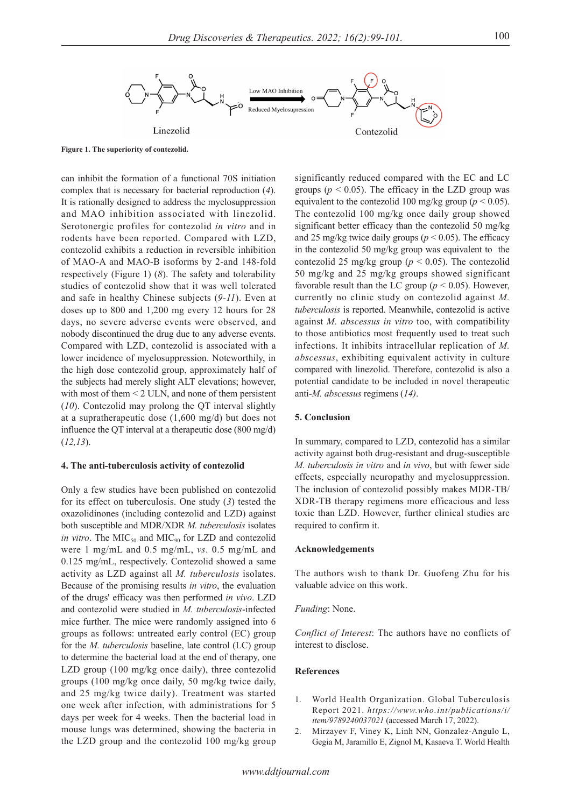

**Figure 1. The superiority of contezolid.** 

can inhibit the formation of a functional 70S initiation complex that is necessary for bacterial reproduction (*4*). It is rationally designed to address the myelosuppression and MAO inhibition associated with linezolid. Serotonergic profiles for contezolid *in vitro* and in rodents have been reported. Compared with LZD, contezolid exhibits a reduction in reversible inhibition of MAO-A and MAO-B isoforms by 2-and 148-fold respectively (Figure 1) (*8*). The safety and tolerability studies of contezolid show that it was well tolerated and safe in healthy Chinese subjects (*9-11*). Even at doses up to 800 and 1,200 mg every 12 hours for 28 days, no severe adverse events were observed, and nobody discontinued the drug due to any adverse events. Compared with LZD, contezolid is associated with a lower incidence of myelosuppression. Noteworthily, in the high dose contezolid group, approximately half of the subjects had merely slight ALT elevations; however, with most of them < 2 ULN, and none of them persistent (*10*). Contezolid may prolong the QT interval slightly at a supratherapeutic dose (1,600 mg/d) but does not influence the QT interval at a therapeutic dose (800 mg/d) (*12,13*).

## **4. The anti-tuberculosis activity of contezolid**

Only a few studies have been published on contezolid for its effect on tuberculosis. One study (*3*) tested the oxazolidinones (including contezolid and LZD) against both susceptible and MDR/XDR *M. tuberculosis* isolates *in vitro*. The  $\text{MIC}_{50}$  and  $\text{MIC}_{90}$  for LZD and contezolid were 1 mg/mL and 0.5 mg/mL, *vs*. 0.5 mg/mL and 0.125 mg/mL, respectively. Contezolid showed a same activity as LZD against all *M. tuberculosis* isolates. Because of the promising results *in vitro*, the evaluation of the drugs' efficacy was then performed *in vivo*. LZD and contezolid were studied in *M. tuberculosis*-infected mice further. The mice were randomly assigned into 6 groups as follows: untreated early control (EC) group for the *M. tuberculosis* baseline, late control (LC) group to determine the bacterial load at the end of therapy, one LZD group (100 mg/kg once daily), three contezolid groups (100 mg/kg once daily, 50 mg/kg twice daily, and 25 mg/kg twice daily). Treatment was started one week after infection, with administrations for 5 days per week for 4 weeks. Then the bacterial load in mouse lungs was determined, showing the bacteria in the LZD group and the contezolid 100 mg/kg group

significantly reduced compared with the EC and LC groups ( $p < 0.05$ ). The efficacy in the LZD group was equivalent to the contezolid 100 mg/kg group ( $p < 0.05$ ). The contezolid 100 mg/kg once daily group showed significant better efficacy than the contezolid 50 mg/kg and 25 mg/kg twice daily groups ( $p < 0.05$ ). The efficacy in the contezolid 50 mg/kg group was equivalent to the contezolid 25 mg/kg group ( $p < 0.05$ ). The contezolid 50 mg/kg and 25 mg/kg groups showed significant favorable result than the LC group ( $p < 0.05$ ). However, currently no clinic study on contezolid against *M. tuberculosis* is reported. Meanwhile, contezolid is active against *M. abscessus in vitro* too, with compatibility to those antibiotics most frequently used to treat such infections. It inhibits intracellular replication of *M. abscessus*, exhibiting equivalent activity in culture compared with linezolid. Therefore, contezolid is also a potential candidate to be included in novel therapeutic anti-*M. abscessus* regimens (*14)*.

#### **5. Conclusion**

In summary, compared to LZD, contezolid has a similar activity against both drug-resistant and drug-susceptible *M. tuberculosis in vitro* and *in vivo*, but with fewer side effects, especially neuropathy and myelosuppression. The inclusion of contezolid possibly makes MDR-TB/ XDR-TB therapy regimens more efficacious and less toxic than LZD. However, further clinical studies are required to confirm it.

#### **Acknowledgements**

The authors wish to thank Dr. Guofeng Zhu for his valuable advice on this work.

#### *Funding*: None.

*Conflict of Interest*: The authors have no conflicts of interest to disclose.

#### **References**

- 1. World Health Organization. Global Tuberculosis Report 2021. *https://www.who.int/publications/i/ item/9789240037021* (accessed March 17, 2022).
- 2. Mirzayev F, Viney K, Linh NN, Gonzalez-Angulo L, Gegia M, Jaramillo E, Zignol M, Kasaeva T. World Health